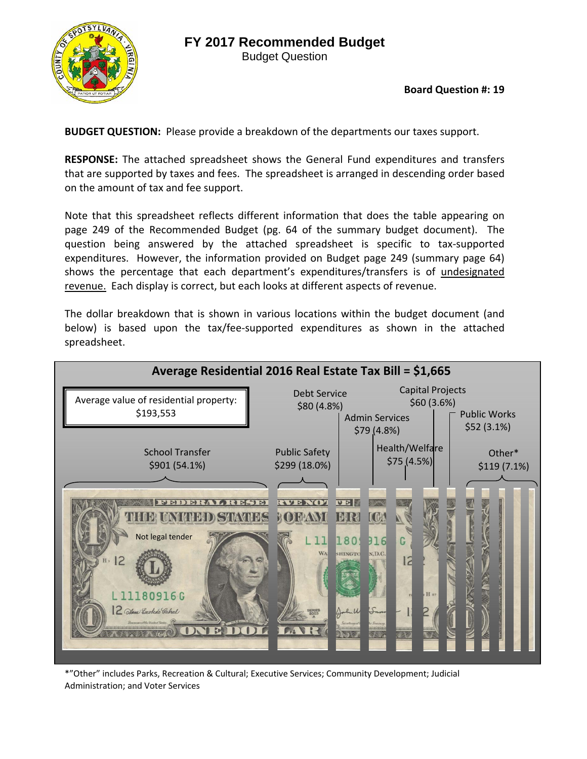



**Board Question #: 19**

**BUDGET QUESTION:** Please provide a breakdown of the departments our taxes support.

**RESPONSE:** The attached spreadsheet shows the General Fund expenditures and transfers that are supported by taxes and fees. The spreadsheet is arranged in descending order based on the amount of tax and fee support.

Note that this spreadsheet reflects different information that does the table appearing on page 249 of the Recommended Budget (pg. 64 of the summary budget document). The question being answered by the attached spreadsheet is specific to tax-supported expenditures. However, the information provided on Budget page 249 (summary page 64) shows the percentage that each department's expenditures/transfers is of undesignated revenue. Each display is correct, but each looks at different aspects of revenue.

The dollar breakdown that is shown in various locations within the budget document (and below) is based upon the tax/fee-supported expenditures as shown in the attached spreadsheet.



\*"Other" includes Parks, Recreation & Cultural; Executive Services; Community Development; Judicial Administration; and Voter Services